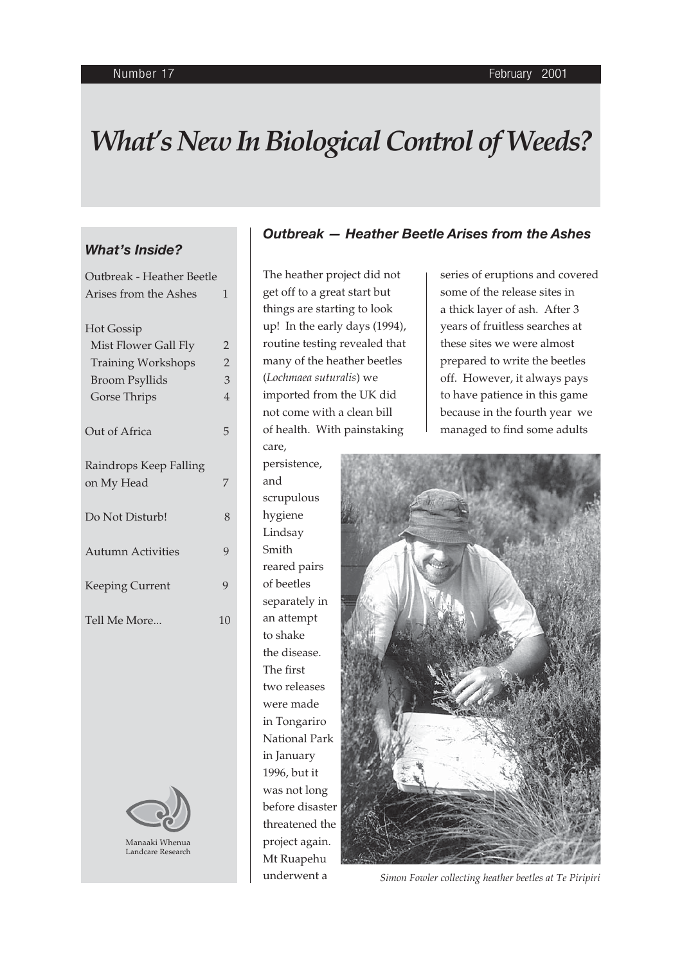# *What's New In Biological Control of Weeds?*

## *What's Inside?*

| Outbreak - Heather Beetle            |                |
|--------------------------------------|----------------|
| Arises from the Ashes                | $\mathbf{1}$   |
| <b>Hot Gossip</b>                    |                |
| Mist Flower Gall Fly                 | 2              |
| <b>Training Workshops</b>            | $\overline{2}$ |
| <b>Broom Psyllids</b>                | 3              |
| Gorse Thrips                         | $\overline{4}$ |
| Out of Africa                        | 5              |
| Raindrops Keep Falling<br>on My Head | 7              |
| Do Not Disturb!                      | 8              |
| <b>Autumn Activities</b>             | 9              |
| Keeping Current                      | 9              |
| Tell Me More                         | 10             |



## *Outbreak — Heather Beetle Arises from the Ashes*

The heather project did not get off to a great start but things are starting to look up! In the early days (1994), routine testing revealed that many of the heather beetles (*Lochmaea suturalis*) we imported from the UK did not come with a clean bill of health. With painstaking care,

persistence, and scrupulous hygiene Lindsay Smith reared pairs of beetles separately in an attempt to shake the disease. The first two releases were made in Tongariro National Park in January 1996, but it was not long before disaster threatened the project again. Mt Ruapehu underwent a

series of eruptions and covered some of the release sites in a thick layer of ash. After 3 years of fruitless searches at these sites we were almost prepared to write the beetles off. However, it always pays to have patience in this game because in the fourth year we managed to find some adults



*Simon Fowler collecting heather beetles at Te Piripiri*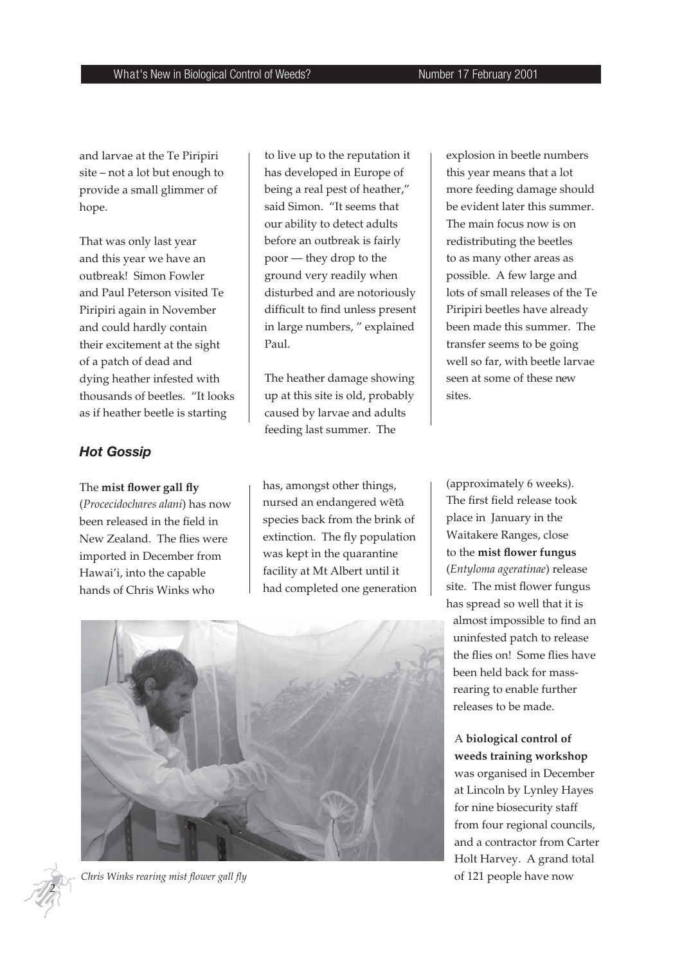and larvae at the Te Piripiri site – not a lot but enough to provide a small glimmer of hope.

That was only last year and this year we have an outbreak! Simon Fowler and Paul Peterson visited Te Piripiri again in November and could hardly contain their excitement at the sight of a patch of dead and dying heather infested with thousands of beetles. "It looks as if heather beetle is starting

## *Hot Gossip*

#### The mist flower gall fly

(*Procecidochares alani*) has now been released in the field in New Zealand. The flies were imported in December from Hawai'i, into the capable hands of Chris Winks who

to live up to the reputation it has developed in Europe of being a real pest of heather," said Simon. "It seems that our ability to detect adults before an outbreak is fairly poor — they drop to the ground very readily when disturbed and are notoriously difficult to find unless present in large numbers, " explained Paul.

The heather damage showing up at this site is old, probably caused by larvae and adults feeding last summer. The

has, amongst other things, nursed an endangered wētā species back from the brink of extinction. The fly population was kept in the quarantine facility at Mt Albert until it had completed one generation explosion in beetle numbers this year means that a lot more feeding damage should be evident later this summer. The main focus now is on redistributing the beetles to as many other areas as possible. A few large and lots of small releases of the Te Piripiri beetles have already been made this summer. The transfer seems to be going well so far, with beetle larvae seen at some of these new sites.

(approximately 6 weeks). The first field release took place in January in the Waitakere Ranges, close to the mist flower fungus (*Entyloma ageratinae*) release site. The mist flower fungus has spread so well that it is almost impossible to find an uninfested patch to release the flies on! Some flies have been held back for massrearing to enable further releases to be made.

# A **biological control of weeds training workshop**  was organised in December at Lincoln by Lynley Hayes for nine biosecurity staff from four regional councils, and a contractor from Carter Holt Harvey. A grand total

of 121 people have now





Chris Winks rearing mist flower gall fly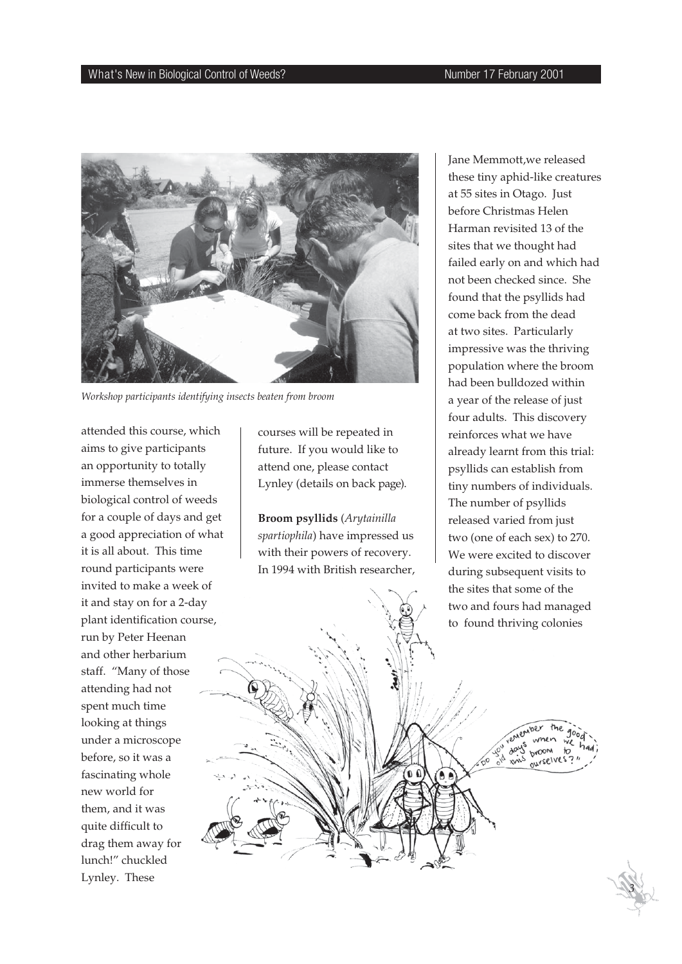

*Workshop participants identifying insects beaten from broom*

attended this course, which aims to give participants an opportunity to totally immerse themselves in biological control of weeds for a couple of days and get a good appreciation of what it is all about. This time round participants were invited to make a week of it and stay on for a 2-day plant identification course, run by Peter Heenan and other herbarium staff. "Many of those attending had not spent much time looking at things under a microscope before, so it was a fascinating whole new world for them, and it was quite difficult to drag them away for lunch!" chuckled Lynley. These

courses will be repeated in future. If you would like to attend one, please contact Lynley (details on back page).

**Broom psyllids** (*Arytainilla spartiophila*) have impressed us with their powers of recovery. In 1994 with British researcher,

 $\mathbf{0}$ 

A A

Jane Memmott,we released these tiny aphid-like creatures at 55 sites in Otago. Just before Christmas Helen Harman revisited 13 of the sites that we thought had failed early on and which had not been checked since. She found that the psyllids had come back from the dead at two sites. Particularly impressive was the thriving population where the broom had been bulldozed within a year of the release of just four adults. This discovery reinforces what we have already learnt from this trial: psyllids can establish from tiny numbers of individuals. The number of psyllids released varied from just two (one of each sex) to 270. We were excited to discover during subsequent visits to the sites that some of the two and fours had managed to found thriving colonies

 *3*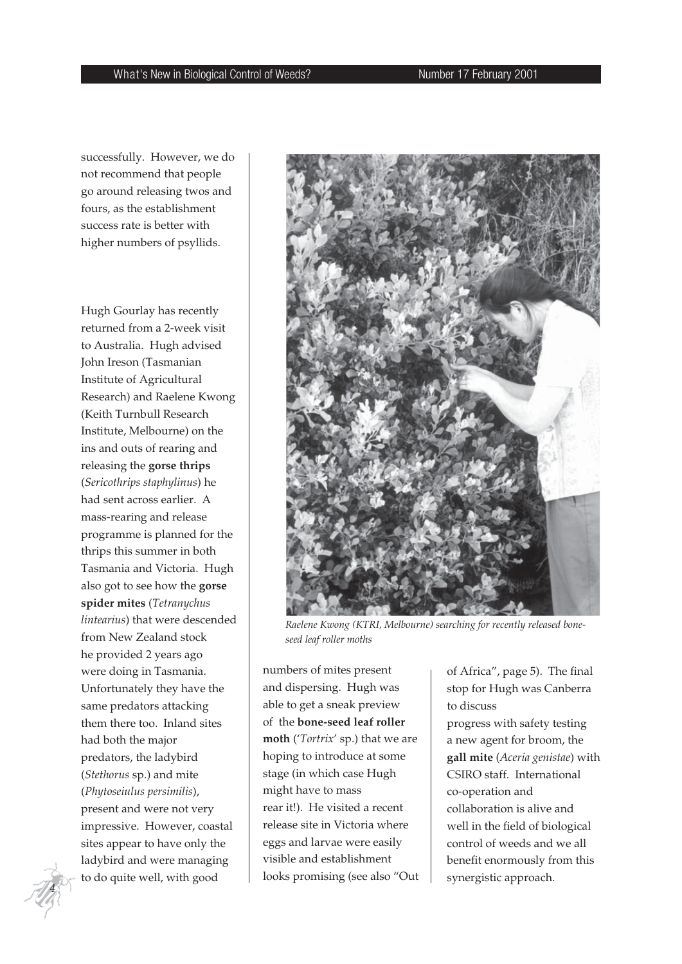successfully. However, we do not recommend that people go around releasing twos and fours, as the establishment success rate is better with higher numbers of psyllids.

Hugh Gourlay has recently returned from a 2-week visit to Australia. Hugh advised John Ireson (Tasmanian Institute of Agricultural Research) and Raelene Kwong (Keith Turnbull Research Institute, Melbourne) on the ins and outs of rearing and releasing the **gorse thrips**  (*Sericothrips staphylinus*) he had sent across earlier. A mass-rearing and release programme is planned for the thrips this summer in both Tasmania and Victoria. Hugh also got to see how the **gorse spider mites** (*Tetranychus lintearius*) that were descended from New Zealand stock he provided 2 years ago were doing in Tasmania. Unfortunately they have the same predators attacking them there too. Inland sites had both the major predators, the ladybird (*Stethorus* sp.) and mite (*Phytoseiulus persimilis*), present and were not very impressive. However, coastal sites appear to have only the ladybird and were managing to do quite well, with good



*Raelene Kwong (KTRI, Melbourne) searching for recently released boneseed leaf roller moths*

numbers of mites present and dispersing. Hugh was able to get a sneak preview of the **bone-seed leaf roller moth** ('*Tortrix*' sp.) that we are hoping to introduce at some stage (in which case Hugh might have to mass rear it!). He visited a recent release site in Victoria where eggs and larvae were easily visible and establishment looks promising (see also "Out

of Africa", page 5). The final stop for Hugh was Canberra to discuss

progress with safety testing a new agent for broom, the **gall mite** (*Aceria genistae*) with CSIRO staff. International co-operation and collaboration is alive and well in the field of biological control of weeds and we all benefit enormously from this synergistic approach.

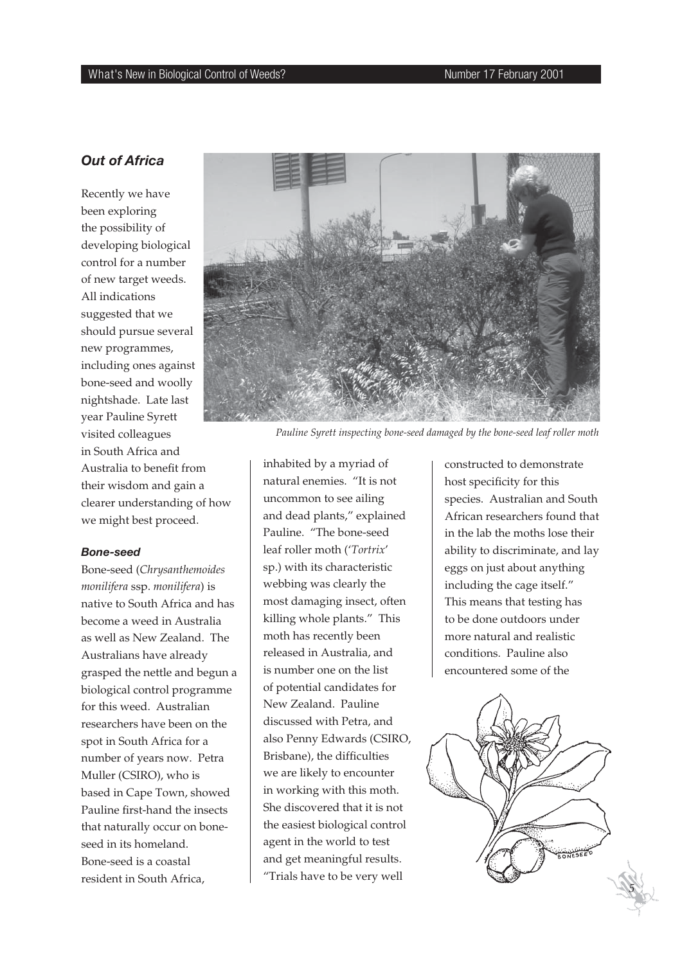## *Out of Africa*

Recently we have been exploring the possibility of developing biological control for a number of new target weeds. All indications suggested that we should pursue several new programmes, including ones against bone-seed and woolly nightshade. Late last year Pauline Syrett visited colleagues in South Africa and Australia to benefit from their wisdom and gain a clearer understanding of how we might best proceed.

#### *Bone-seed*

Bone-seed (*Chrysanthemoides monilifera* ssp. *monilifera*) is native to South Africa and has become a weed in Australia as well as New Zealand. The Australians have already grasped the nettle and begun a biological control programme for this weed. Australian researchers have been on the spot in South Africa for a number of years now. Petra Muller (CSIRO), who is based in Cape Town, showed Pauline first-hand the insects that naturally occur on boneseed in its homeland. Bone-seed is a coastal resident in South Africa,



*Pauline Syrett inspecting bone-seed damaged by the bone-seed leaf roller moth*

inhabited by a myriad of natural enemies. "It is not uncommon to see ailing and dead plants," explained Pauline. "The bone-seed leaf roller moth ('*Tortrix*' sp.) with its characteristic webbing was clearly the most damaging insect, often killing whole plants." This moth has recently been released in Australia, and is number one on the list of potential candidates for New Zealand. Pauline discussed with Petra, and also Penny Edwards (CSIRO, Brisbane), the difficulties we are likely to encounter in working with this moth. She discovered that it is not the easiest biological control agent in the world to test and get meaningful results. "Trials have to be very well

constructed to demonstrate host specificity for this species. Australian and South African researchers found that in the lab the moths lose their ability to discriminate, and lay eggs on just about anything including the cage itself." This means that testing has to be done outdoors under more natural and realistic conditions. Pauline also encountered some of the

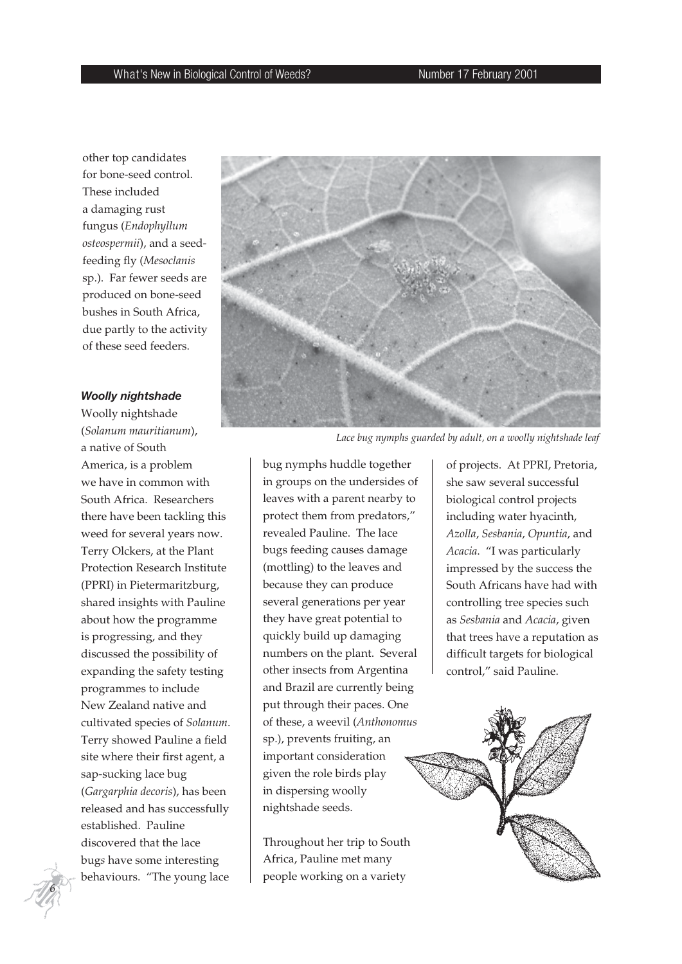other top candidates for bone-seed control. These included a damaging rust fungus (*Endophyllum osteospermii*), and a seedfeeding fly (Mesoclanis sp.). Far fewer seeds are produced on bone-seed bushes in South Africa, due partly to the activity of these seed feeders.

#### *Woolly nightshade*

Woolly nightshade (*Solanum mauritianum*), a native of South America, is a problem we have in common with South Africa. Researchers there have been tackling this weed for several years now. Terry Olckers, at the Plant Protection Research Institute (PPRI) in Pietermaritzburg, shared insights with Pauline about how the programme is progressing, and they discussed the possibility of expanding the safety testing programmes to include New Zealand native and cultivated species of *Solanum*. Terry showed Pauline a field site where their first agent, a sap-sucking lace bug (*Gargarphia decoris*), has been released and has successfully established. Pauline discovered that the lace bug*s* have some interesting behaviours. "The young lace



*Lace bug nymphs guarded by adult, on a woolly nightshade leaf*

bug nymphs huddle together in groups on the undersides of leaves with a parent nearby to protect them from predators," revealed Pauline. The lace bugs feeding causes damage (mottling) to the leaves and because they can produce several generations per year they have great potential to quickly build up damaging numbers on the plant. Several other insects from Argentina and Brazil are currently being put through their paces. One of these, a weevil (*Anthonomus*  sp.), prevents fruiting, an important consideration given the role birds play in dispersing woolly nightshade seeds.

Throughout her trip to South Africa, Pauline met many people working on a variety

of projects. At PPRI, Pretoria, she saw several successful biological control projects including water hyacinth, *Azolla*, *Sesbania*, *Opuntia*, and *Acacia*. "I was particularly impressed by the success the South Africans have had with controlling tree species such as *Sesbania* and *Acacia*, given that trees have a reputation as difficult targets for biological control," said Pauline.



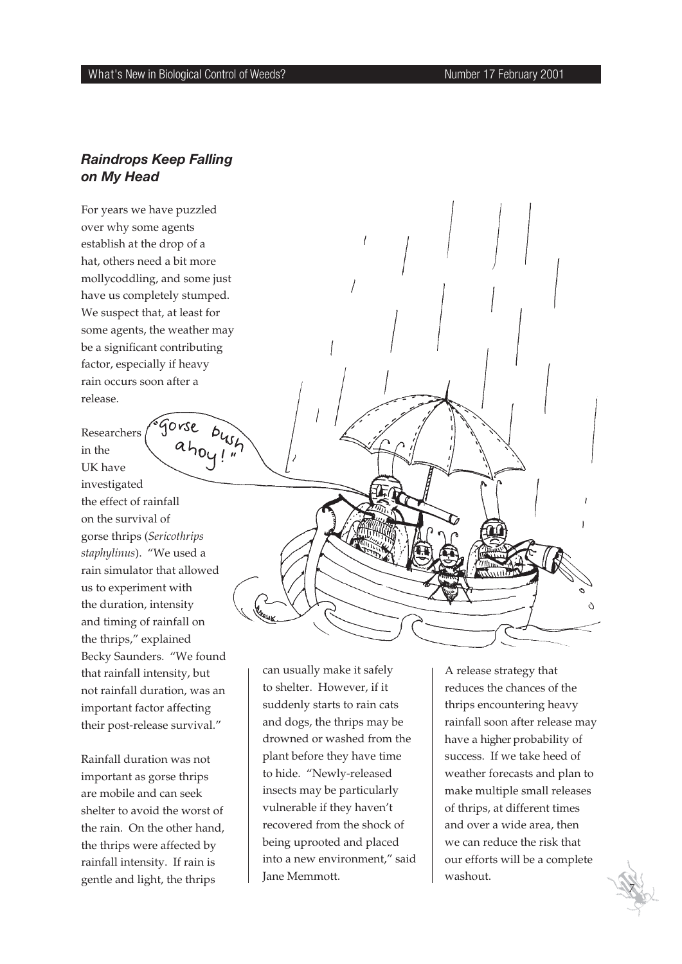## *Raindrops Keep Falling on My Head*

For years we have puzzled over why some agents establish at the drop of a hat, others need a bit more mollycoddling, and some just have us completely stumped. We suspect that, at least for some agents, the weather may be a significant contributing factor, especially if heavy rain occurs soon after a release.

Gorse  $b_{45}$ Researchers  $a_{h}$ <sub> $o$ </sub> $\frac{1}{1}$ in the UK have investigated the effect of rainfall on the survival of gorse thrips (*Sericothrips staphylinus*). "We used a rain simulator that allowed us to experiment with the duration, intensity and timing of rainfall on the thrips," explained Becky Saunders. "We found that rainfall intensity, but not rainfall duration, was an important factor affecting their post-release survival."

Rainfall duration was not important as gorse thrips are mobile and can seek shelter to avoid the worst of the rain. On the other hand, the thrips were affected by rainfall intensity. If rain is gentle and light, the thrips

can usually make it safely to shelter. However, if it suddenly starts to rain cats and dogs, the thrips may be drowned or washed from the plant before they have time to hide. "Newly-released insects may be particularly vulnerable if they haven't recovered from the shock of being uprooted and placed into a new environment," said Jane Memmott.

A release strategy that reduces the chances of the thrips encountering heavy rainfall soon after release may have a higher probability of success. If we take heed of weather forecasts and plan to make multiple small releases of thrips, at different times and over a wide area, then we can reduce the risk that our efforts will be a complete washout.

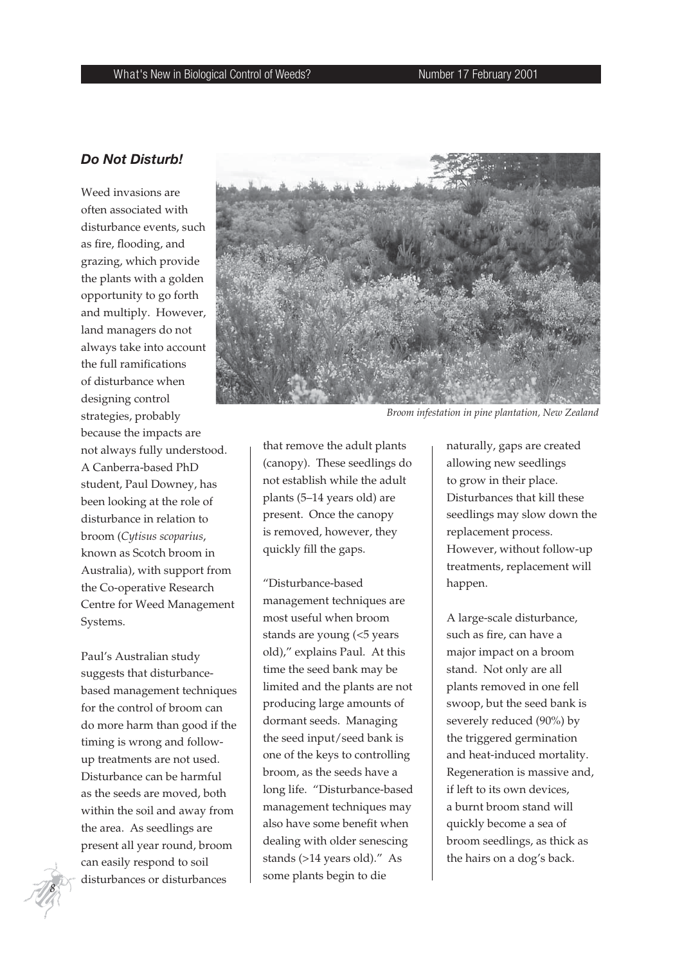## *Do Not Disturb!*

Weed invasions are often associated with disturbance events, such as fire, flooding, and grazing, which provide the plants with a golden opportunity to go forth and multiply. However, land managers do not always take into account the full ramifications of disturbance when designing control strategies, probably because the impacts are not always fully understood. A Canberra-based PhD student, Paul Downey, has been looking at the role of disturbance in relation to broom (*Cytisus scoparius*, known as Scotch broom in Australia), with support from the Co-operative Research Centre for Weed Management Systems.

Paul's Australian study suggests that disturbancebased management techniques for the control of broom can do more harm than good if the timing is wrong and followup treatments are not used. Disturbance can be harmful as the seeds are moved, both within the soil and away from the area. As seedlings are present all year round, broom can easily respond to soil disturbances or disturbances



*Broom infestation in pine plantation, New Zealand*

that remove the adult plants (canopy). These seedlings do not establish while the adult plants (5–14 years old) are present. Once the canopy is removed, however, they quickly fill the gaps.

"Disturbance-based management techniques are most useful when broom stands are young (<5 years old)," explains Paul. At this time the seed bank may be limited and the plants are not producing large amounts of dormant seeds. Managing the seed input/seed bank is one of the keys to controlling broom, as the seeds have a long life. "Disturbance-based management techniques may also have some benefit when dealing with older senescing stands (>14 years old)." As some plants begin to die

naturally, gaps are created allowing new seedlings to grow in their place. Disturbances that kill these seedlings may slow down the replacement process. However, without follow-up treatments, replacement will happen.

A large-scale disturbance, such as fire, can have a major impact on a broom stand. Not only are all plants removed in one fell swoop, but the seed bank is severely reduced (90%) by the triggered germination and heat-induced mortality. Regeneration is massive and, if left to its own devices, a burnt broom stand will quickly become a sea of broom seedlings, as thick as the hairs on a dog's back.

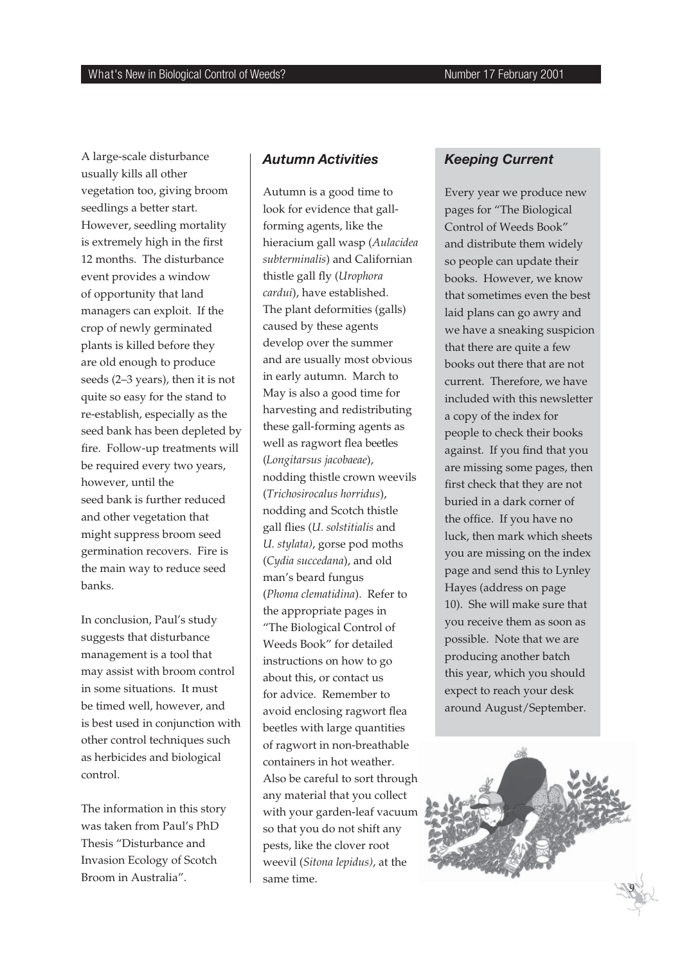A large-scale disturbance usually kills all other vegetation too, giving broom seedlings a better start. However, seedling mortality is extremely high in the first 12 months. The disturbance event provides a window of opportunity that land managers can exploit. If the crop of newly germinated plants is killed before they are old enough to produce seeds (2–3 years), then it is not quite so easy for the stand to re-establish, especially as the seed bank has been depleted by fire. Follow-up treatments will be required every two years, however, until the seed bank is further reduced and other vegetation that might suppress broom seed germination recovers. Fire is the main way to reduce seed banks.

In conclusion, Paul's study suggests that disturbance management is a tool that may assist with broom control in some situations. It must be timed well, however, and is best used in conjunction with other control techniques such as herbicides and biological control.

The information in this story was taken from Paul's PhD Thesis "Disturbance and Invasion Ecology of Scotch Broom in Australia".

## *Autumn Activities*

Autumn is a good time to look for evidence that gallforming agents, like the hieracium gall wasp (*Aulacidea subterminalis*) and Californian thistle gall fly (*Urophora cardui*), have established. The plant deformities (galls) caused by these agents develop over the summer and are usually most obvious in early autumn. March to May is also a good time for harvesting and redistributing these gall-forming agents as well as ragwort flea beetles (*Longitarsus jacobaeae*), nodding thistle crown weevils (*Trichosirocalus horridus*), nodding and Scotch thistle gall flies (*U. solstitialis* and *U. stylata)*, gorse pod moths (*Cydia succedana*), and old man's beard fungus (*Phoma clematidina*). Refer to the appropriate pages in "The Biological Control of Weeds Book" for detailed instructions on how to go about this, or contact us for advice. Remember to avoid enclosing ragwort flea beetles with large quantities of ragwort in non-breathable containers in hot weather. Also be careful to sort through any material that you collect with your garden-leaf vacuum so that you do not shift any pests, like the clover root weevil (*Sitona lepidus)*, at the same time.

## *Keeping Current*

Every year we produce new pages for "The Biological Control of Weeds Book" and distribute them widely so people can update their books. However, we know that sometimes even the best laid plans can go awry and we have a sneaking suspicion that there are quite a few books out there that are not current. Therefore, we have included with this newsletter a copy of the index for people to check their books against. If you find that you are missing some pages, then first check that they are not buried in a dark corner of the office. If you have no luck, then mark which sheets you are missing on the index page and send this to Lynley Hayes (address on page 10). She will make sure that you receive them as soon as possible. Note that we are producing another batch this year, which you should expect to reach your desk around August/September.